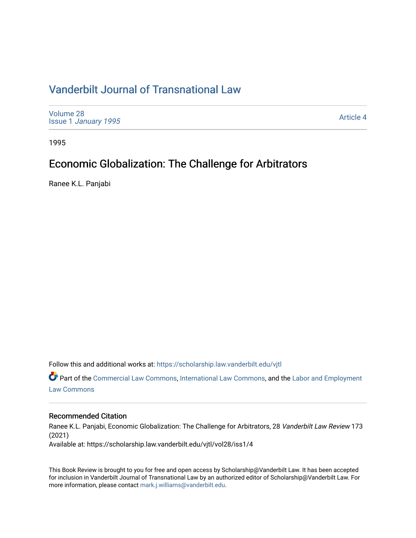## [Vanderbilt Journal of Transnational Law](https://scholarship.law.vanderbilt.edu/vjtl)

[Volume 28](https://scholarship.law.vanderbilt.edu/vjtl/vol28) Issue 1 [January 1995](https://scholarship.law.vanderbilt.edu/vjtl/vol28/iss1)

[Article 4](https://scholarship.law.vanderbilt.edu/vjtl/vol28/iss1/4) 

1995

## Economic Globalization: The Challenge for Arbitrators

Ranee K.L. Panjabi

Follow this and additional works at: [https://scholarship.law.vanderbilt.edu/vjtl](https://scholarship.law.vanderbilt.edu/vjtl?utm_source=scholarship.law.vanderbilt.edu%2Fvjtl%2Fvol28%2Fiss1%2F4&utm_medium=PDF&utm_campaign=PDFCoverPages) 

Part of the [Commercial Law Commons](http://network.bepress.com/hgg/discipline/586?utm_source=scholarship.law.vanderbilt.edu%2Fvjtl%2Fvol28%2Fiss1%2F4&utm_medium=PDF&utm_campaign=PDFCoverPages), [International Law Commons](http://network.bepress.com/hgg/discipline/609?utm_source=scholarship.law.vanderbilt.edu%2Fvjtl%2Fvol28%2Fiss1%2F4&utm_medium=PDF&utm_campaign=PDFCoverPages), and the [Labor and Employment](http://network.bepress.com/hgg/discipline/909?utm_source=scholarship.law.vanderbilt.edu%2Fvjtl%2Fvol28%2Fiss1%2F4&utm_medium=PDF&utm_campaign=PDFCoverPages) [Law Commons](http://network.bepress.com/hgg/discipline/909?utm_source=scholarship.law.vanderbilt.edu%2Fvjtl%2Fvol28%2Fiss1%2F4&utm_medium=PDF&utm_campaign=PDFCoverPages) 

#### Recommended Citation

Ranee K.L. Panjabi, Economic Globalization: The Challenge for Arbitrators, 28 Vanderbilt Law Review 173 (2021)

Available at: https://scholarship.law.vanderbilt.edu/vjtl/vol28/iss1/4

This Book Review is brought to you for free and open access by Scholarship@Vanderbilt Law. It has been accepted for inclusion in Vanderbilt Journal of Transnational Law by an authorized editor of Scholarship@Vanderbilt Law. For more information, please contact [mark.j.williams@vanderbilt.edu](mailto:mark.j.williams@vanderbilt.edu).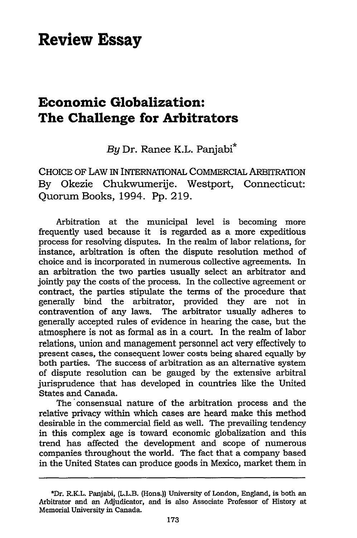# **Review Essay**

### **Economic Globalization: The Challenge for Arbitrators**

*By* Dr. Ranee K.L. Panjabi\*

CHOICE OF LAW IN INTERNATIONAL COMMERCIAL ARBITRATION By Okezie Chukwumerije. Westport, Connecticut: Quorum Books, 1994. Pp. 219.

Arbitration at the municipal level is becoming more frequently used because it is regarded as a more expeditious process for resolving disputes. In the realm of labor relations, for instance, arbitration is often the dispute resolution method of choice and is incorporated in numerous collective agreements. In an arbitration the two parties usually select an arbitrator and jointly pay the costs of the process. In the collective agreement or contract, the parties stipulate the terms of the procedure that generally bind the arbitrator, provided they are not in contravention of any laws. The arbitrator usually adheres to generally accepted rules of evidence in hearing the case, but the atmosphere is not as formal as in a court. In the realm of labor relations, union and management personnel act very effectively to present cases, the consequent lower costs being shared equally by both parties. The success of arbitration as an alternative system of dispute resolution can be gauged by the extensive arbitral jurisprudence that has developed in countries like the United States and Canada.

The consensual nature of the arbitration process and the relative privacy within which cases are heard make this method desirable in the commercial field as well. The prevailing tendency in this complex age is toward economic globalization and this trend has affected the development and scope of numerous companies throughout the world. The fact that a company based in the United States can produce goods in Mexico, market them in

<sup>\*</sup>Dr. R.K.L. Panjabi, (L.L.B. (Hons.)) University of London, England, is both an Arbitrator and an Adjudicator, and is also Associate Professor of History at Memorial University in Canada.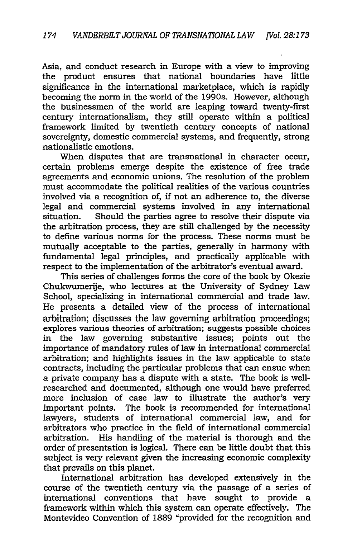Asia, and conduct research in Europe with a view to improving the product ensures that national boundaries have little significance in the international marketplace, which is rapidly becoming the norm in the world of the 1990s. However, although the businessmen of the world are leaping toward twenty-first century internationalism, they still operate within a political framework limited by twentieth century concepts of national sovereignty, domestic commercial systems, and frequently, strong nationalistic emotions.

When disputes that are transnational in character occur, certain problems emerge despite the existence of free trade agreements and economic unions. The resolution of the problem must accommodate the political realities of the various countries involved via a recognition of, if not an adherence to, the diverse legal and commercial systems involved in any international situation. Should the parties agree to resolve their dispute via the arbitration process, they are still challenged by the necessity to define various norms for the process. These norms must be mutually acceptable to the parties, generally in harmony with fundamental legal principles, and practically applicable with respect to the implementation of the arbitrator's eventual award.

This series of challenges forms the core of the book by Okezie Chukwumerije, who lectures at the University of Sydney Law School, specializing in international commercial and trade law. He presents a detailed view of the process of international arbitration; discusses the law governing arbitration proceedings; explores various theories of arbitration; suggests possible choices in the law governing substantive issues; points out the importance of mandatory rules of law in international commercial arbitration; and highlights issues in the law applicable to state contracts, including the particular problems that can ensue when a private company has a dispute with a state. The book is wellresearched and documented, although one would have preferred more inclusion of case law to illustrate the author's very important points. The book is recommended for international lawyers, students of international commercial law, and for arbitrators who practice in the field of international commercial arbitration. His handling of the material is thorough and the order of presentation is logical. There can be little doubt that this subject is very relevant given the increasing economic complexity that prevails on this planet.

International arbitration has developed extensively in the course of the twentieth century via the passage of a series of international conventions that have sought to provide a framework within which this system can operate effectively. The Montevideo Convention of 1889 "provided for the recognition and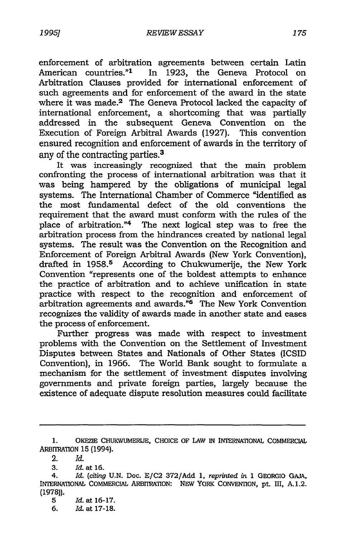enforcement of arbitration agreements between certain Latin American countries."<sup>1</sup> In 1923, the Geneva Protocol on Arbitration Clauses provided for international enforcement of such agreements and for enforcement of the award in the state where it was made.<sup>2</sup> The Geneva Protocol lacked the capacity of international enforcement, a shortcoming that was partially addressed in the subsequent Geneva Convention on the Execution of Foreign Arbitral Awards (1927). This convention ensured recognition and enforcement of awards in the territory of any of the contracting parties.3

It was increasingly recognized that the main problem confronting the process of international arbitration was that it was being hampered by the obligations of municipal legal systems. The International Chamber of Commerce "identified as the most fundamental defect of the old conventions the requirement that the award must conform with the rules of the place of arbitration."4 The next logical step was to free the arbitration process from the hindrances created by national legal systems. The result was the Convention on the Recognition and Enforcement of Foreign Arbitral Awards (New York Convention), drafted in 1958.<sup>5</sup> According to Chukwumerije, the New York Convention "represents one of the boldest attempts to enhance the practice of arbitration and to achieve unification in state practice with respect to the recognition and enforcement of arbitration agreements and awards.<sup>"6</sup> The New York Convention recognizes the validity of awards made in another state and eases the process of enforcement.

Further progress was made with respect to investment problems with the Convention on the Settlement of Investment Disputes between States and Nationals of Other States (ICSID Convention), in 1966. The World Bank sought to formulate a mechanism for the settlement of investment disputes involving governments and private foreign parties, largely because the existence of adequate dispute resolution measures could facilitate

<sup>1.</sup> OKEZIE CHUKWUMERLJE, CHOICE OF LAW IN INTERNATIONAL COMMERCIAL **ARBrIRATION** 15 (1994).

<sup>2.</sup> *Id.*

**<sup>3.</sup>** *Id.* at **16.**

<sup>4.</sup> *Id.* (citing **U.N.** Doc. **E/C2 372/Add 1,** *reprinted in* **1** GEORGIO **GAJA,** INTERNATIONAL COMMERCIAL ARBITRATION: **NEW** YORK **CONVENTION, pt.** IlI, **A.1.2. (1978)).**

**<sup>5</sup>** *Id.* at **16-17.**

**<sup>6.</sup>** Id. at **17-18.**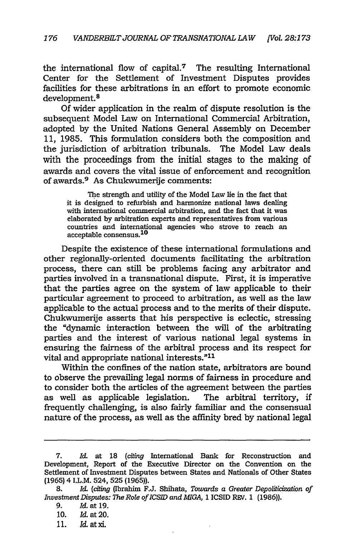the international flow of capital.<sup>7</sup> The resulting International Center for the Settlement of Investment Disputes provides facilities for these arbitrations in an effort to promote economic development. <sup>8</sup>

Of wider application in the realm of dispute resolution is the subsequent Model Law on International Commercial Arbitration, adopted by the United Nations General Assembly on December 11, 1985. This formulation considers both the composition and the jurisdiction of arbitration tribunals. The Model Law deals with the proceedings from the initial stages to the making of awards and covers the vital issue of enforcement and recognition of awards.<sup>9</sup> As Chukwumerije comments:

The strength and utility of the Model Law lie in the fact that it is designed to refurbish and harmonize national laws dealing with international commercial arbitration, and the fact that it was elaborated by arbitration experts and representatives from various countries and international agencies who strove to reach an acceptable consensus. **<sup>10</sup>**

Despite the existence of these international formulations and other regionally-oriented documents facilitating the arbitration process, there can still be problems facing any arbitrator and parties involved in a transnational dispute. First, it is imperative that the parties agree on the system of law applicable to their particular agreement to proceed to arbitration, as well as the law applicable to the actual process and to the merits of their dispute. Chukwumerije asserts that his perspective is eclectic, stressing the "dynamic interaction between the will of the arbitrating parties and the interest of various national legal systems in ensuring the fairness of the arbitral process and its respect for vital and appropriate national interests."11

Within the confines of the nation state, arbitrators are bound to observe the prevailing legal norms of fairness in procedure and to consider both the articles of the agreement between the parties as well as applicable legislation. The arbitral territory, if frequently challenging, is also fairly familiar and the consensual nature of the process, as well as the affinity bred by national legal

<sup>7.</sup> *Id.* at **18** *(citing* International Bank for Reconstruction and Development, Report of the Executive Director on the Convention on the Settlement of Investment Disputes between States and Nationals of Other States (1965) 4 I.L.M. 524, 525 (1965)).

**<sup>8.</sup>** Id. *(citing* (Ibrahim F.J. Shihata, *Towards a Greater Depoliticization of Investment Disputes: The Role of ICSID and MIGA,* 1 ICSID REV. 1 (1986)).

<sup>9.</sup> Id. at 19.

<sup>10.</sup> *Id.* at 20.

<sup>11.</sup> *Id* at xi.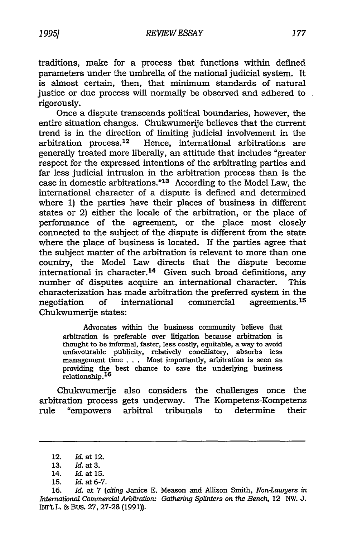traditions, make for a process that functions within defmed parameters under the umbrella of the national judicial system. It is almost certain, then, that minimum standards of natural justice or due process will normally be observed and adhered to rigorously.

Once a dispute transcends political boundaries, however, the entire situation changes. Chukwumerije believes that the current trend is in the direction of limiting judicial involvement in the arbitration process. 12 Hence, international arbitrations are generally treated more liberally, an attitude that includes "greater respect for the expressed intentions of the arbitrating parties and far less judicial intrusion in the arbitration process than is the case in domestic arbitrations."<sup>13</sup> According to the Model Law, the international character of a dispute is defmed and determined where **1)** the parties have their places of business in different states or 2) either the locale of the arbitration, or the place of performance of the agreement, or the place most closely connected to the subject of the dispute is different from the state where the place of business is located. If the parties agree that the subject matter of the arbitration is relevant to more than one country, the Model Law directs that the dispute become international in character. 14 Given such broad definitions, any number of disputes acquire an international character. This characterization has made arbitration the preferred system in the negotiation of international commercial agreements.<sup>15</sup> Chukwumerije states:

Advocates within the business community believe that arbitration is preferable over litigation because arbitration is thought to be informal, faster, less costly, equitable, a way to avoid unfavourable publicity, relatively conciliatory, absorbs less management time . . . Most importantly, arbitration is seen as providing the best chance to save the underlying business relationship. <sup>16</sup>

Chukwumerije also considers the challenges once the arbitration process gets underway. The Kompetenz-Kompetenz rule "empowers arbitral tribunals to determine their

<sup>12.</sup> *Id.* at 12.

<sup>13.</sup> Id. at 3.

<sup>14.</sup> Id. at **15.**

**<sup>15.</sup>** Id. at 6-7.

<sup>16.</sup> *Id.* at 7 *(citing* Janice E. Meason and Allison Smith, *Non-Launjers in International Commercial Arbitration: Gathering Splinters on the Bench, 12 NW. J.* INr'L L. & BUS. 27, 27-28 (1991)).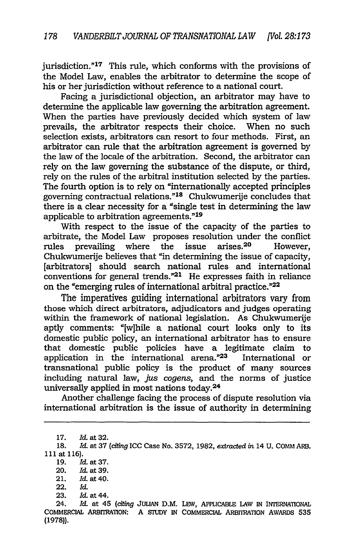jurisdiction."<sup>17</sup> This rule, which conforms with the provisions of the Model Law, enables the arbitrator to determine the scope of his or her jurisdiction without reference to a national court.

Facing a jurisdictional objection, an arbitrator may have to determine the applicable law governing the arbitration agreement. When the parties have previously decided which system of law prevails, the arbitrator respects their choice. When no such selection exists, arbitrators can resort to four methods. First, an arbitrator can rule that the arbitration agreement is governed by the law of the locale of the arbitration. Second, the arbitrator can rely on the law governing the substance of the dispute, or third, rely on the rules of the arbitral institution selected by the parties. The fourth option is to rely on "internationally accepted principles governing contractual relations."<sup>18</sup> Chukwumerije concludes that there is a clear necessity for a "single test in determining the law applicable to arbitration agreements." <sup>19</sup>

With respect to the issue of the capacity of the parties to arbitrate, the Model Law proposes resolution under the conflict rules prevailing where the issue arises.20 However, Chukwumerije believes that "in determining the issue of capacity, [arbitrators] should search national rules and international conventions for general trends." $21$  He expresses faith in reliance on the "emerging rules of international arbitral practice."22

The imperatives guiding international arbitrators vary from those which direct arbitrators, adjudicators and judges operating within the framework of national legislation. As Chukwumerije aptly comments: "[w]hile a national court looks only to its domestic public policy, an international arbitrator has to ensure that domestic public policies have a legitimate claim to application in the international arena."23 International or transnational public policy is the product of many sources including natural law, *jus cogens,* and the norms of justice universally applied in most nations today. <sup>24</sup>

Another challenge facing the process of dispute resolution via international arbitration is the issue of authority in determining

24. *Id.* at 45 *(citing* JULIAN D.M. LEW, APPLICABLE LAW IN INTERNATIONAL COMMERCIAL ARBrRATION: A **SIUDY** IN COMMERCIAL ARBTRATON AWARDS 535 (1978)).

<sup>17.</sup> *Id.* at 32.

<sup>18.</sup> *Id.* at 37 *(citing* ICC Case No. 3572, 1982, *extracted in* 14 U. COMM ARB. 111 at 116).

<sup>19.</sup> **Id.** at 37.

<sup>20.</sup> *Id.* at 39.

<sup>21.</sup> *Id.* at 40.

<sup>22.</sup> *Id.*

<sup>23.</sup> *Id.* at 44.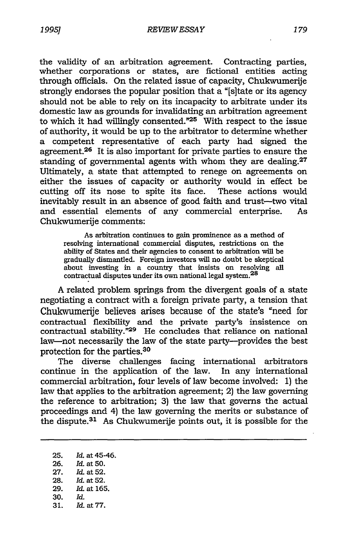the validity of an arbitration agreement. Contracting parties, whether corporations or states, are fictional entities acting through officials. On the related issue of capacity, Chukwumerije strongly endorses the popular position that a "[s]tate or its agency should not be able to rely on its incapacity to arbitrate under its domestic law as grounds for invalidating an arbitration agreement to which it had willingly consented." $25$  With respect to the issue of authority, it would be up to the arbitrator to determine whether a competent representative of each party had signed the agreement.<sup>26</sup> It is also important for private parties to ensure the standing of governmental agents with whom they are dealing. $27$ Ultimately, a state that attempted to renege on agreements on either the issues of capacity or authority would in effect be cutting off its nose to spite its face. These actions would inevitably result in an absence of good faith and trust-two vital and essential elements of any commercial enterprise. As Chukwumerije comments:

As arbitration continues to gain prominence as a method of resolving international commercial disputes, restrictions on the ability of States and their agencies to consent to arbitration will be gradually dismantled. Foreign investors will no doubt be skeptical about investing in a country that insists on resolving all contractual disputes under its own national legal system.<sup>28</sup>

A related problem springs from the divergent goals of a state negotiating a contract with a foreign private party, a tension that Chukwumerije believes arises because of the state's "need for contractual flexibility and the private party's insistence on contractual stability. $n^2$ <sup>9</sup> He concludes that reliance on national law-not necessarily the law of the state party-provides the best protection for the parties.<sup>30</sup>

The diverse challenges facing international arbitrators continue in the application of the law. In any international commercial arbitration, four levels of law become involved: 1) the law that applies to the arbitration agreement; 2) the law governing the reference to arbitration; 3) the law that governs the actual proceedings and 4) the law governing the merits or substance of the dispute.<sup>31</sup> As Chukwumerije points out, it is possible for the

- 26. *Id.* at 50.
- 27. *Id.* at 52. 28. Id. at 52.
- 29. Id. at 165.
- 30. *Id.*
- 31. *Id.* at 77.

<sup>25.</sup> *Id.* at 45-46.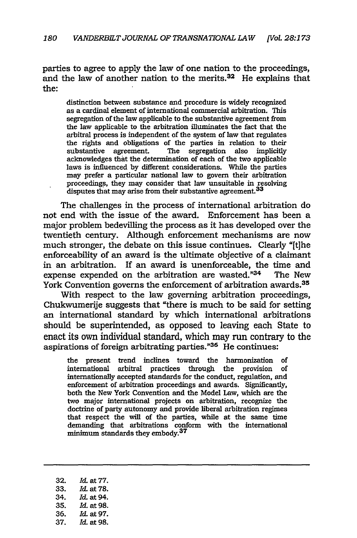parties to agree to apply the law of one nation to the proceedings, and the law of another nation to the merits.<sup>32</sup> He explains that the:

distinction between substance and procedure is widely recognized as a cardinal element of international commercial arbitration. This segregation of the law applicable to the substantive agreement from the law applicable to the arbitration illuminates the fact that the arbitral process is independent of the system of law that regulates the rights and obligations of the parties in relation to their substantive agreement. The segregation also implicitly acknowledges that the determination of each of the two applicable laws is influenced by different considerations. While the parties may prefer a particular national law to govern their arbitration proceedings, they may consider that law unsuitable in resolving disputes that may arise from their substantive agreement.<sup>33</sup>

The challenges in the process of international arbitration do not end with the issue of the award. Enforcement has been a major problem bedeviling the process as it has developed over the twentieth century. Although enforcement mechanisms are now much stronger, the debate on this issue continues. Clearly "[t]he enforceability of an award is the ultimate objective of a claimant in an arbitration. If an award is unenforceable, the time and expense expended on the arbitration are wasted. $"^{34}$  The New York Convention governs the enforcement of arbitration awards.<sup>35</sup>

With respect to the law governing arbitration proceedings, Chukwumerije suggests that "there is much to be said for setting an international standard by which international arbitrations should be superintended, as opposed to leaving each State to enact its own individual standard, which may run contrary to the aspirations of foreign arbitrating parties."<sup>36</sup> He continues:

the present trend inclines toward the harmonization of international arbitral practices through the provision of internationally accepted standards for the conduct, regulation, and enforcement of arbitration proceedings and awards. Significantly, both the New York Convention and the Model Law, which are the two major international projects on arbitration, recognize the doctrine of party autonomy and provide liberal arbitration regimes that respect the will of the parties, while at the same time demanding that arbitrations conform with the international minimum standards they embody.<sup>37</sup>

- 32. *Id* at 77.
- 33. *Id* at **78.**
- 34. *Id.* at 94.
- 35. **Id.** at 98.
- 36. Id. at 97.
- 37. *Id.* at 98.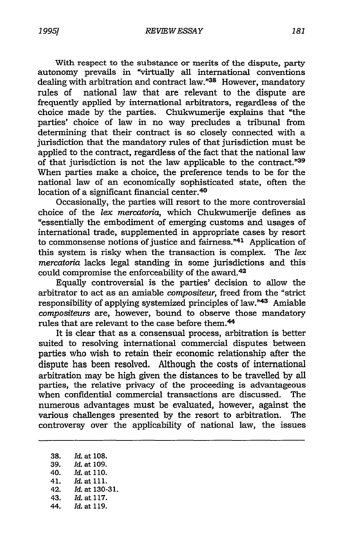With respect to the substance or merits of the dispute, party autonomy prevails in "virtually all international conventions dealing with arbitration and contract law."<sup>38</sup> However, mandatory rules of national law that are relevant to the dispute are frequently applied by international arbitrators, regardless of the choice made by the parties. Chukwumerije explains that "the parties' choice of law in no way precludes a tribunal from determining that their contract is so closely connected with a jurisdiction that the mandatory rules of that jurisdiction must be

applied to the contract, regardless of the fact that the national law of that jurisdiction is not the law applicable to the contract."39 When parties make a choice, the preference tends to be for the national law of an economically sophisticated state, often the location of a significant financial center.<sup>40</sup>

Occasionally, the parties will resort to the more controversial choice of the *lex mercatoria,* which Chukwumerije defines as "essentially the embodiment of emerging customs and usages of international trade, supplemented in appropriate cases by resort to commonsense notions of justice and fairness."41 Application of this system is risky when the transaction is complex. The *lex mercatoria* lacks legal standing in some jurisdictions and this could compromise the enforceability of the award.42

Equally controversial is the parties' decision to allow the arbitrator to act as an amiable *compositeur,* freed from the "strict responsibility of applying systemized principles of law."43 Amiable *compositeurs* are, however, bound to observe those mandatory rules that are relevant to the case before them.<sup>44</sup>

It is clear that as a consensual process, arbitration is better suited to resolving international commercial disputes between parties who wish to retain their economic relationship after the dispute has been resolved. Although the costs of international arbitration may be high given the distances to be travelled by all parties, the relative privacy of the proceeding is advantageous when confidential commercial transactions are discussed. The numerous advantages must be evaluated, however, against the various challenges presented by the resort to arbitration. The controversy over the applicability of national law, the issues

- **38.** *Id.* at **108.** 39. *Id.* at 109.
- 40. Id. at 110.
- 41. Id. at **111.**
- 42. **Id.** at 130-31.
- 43. Id. at 117.
- 44. Id. at 119.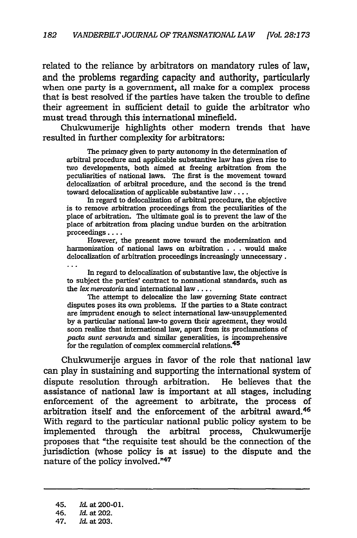related to the reliance by arbitrators on mandatory rules of law, and the problems regarding capacity and authority, particularly when one party is a government, all make for a complex process that is best resolved if the parties have taken the trouble to define their agreement in sufficient detail to guide the arbitrator who must tread through this international minefield.

Chukwumerije highlights other modern trends that have resulted in further complexity for arbitrators:

The primacy given to party autonomy in the determination of arbitral procedure and applicable substantive law has given rise to two developments, both aimed at freeing arbitration from the peculiarities of national laws. The first is the movement toward delocalization of arbitral procedure, and the second is the trend toward delocalization of applicable substantive law ....

In regard to delocalization of arbitral procedure, the objective is to remove arbitration proceedings from the peculiarities of the place of arbitration. The ultimate goal is to prevent the law of the place of arbitration from placing undue burden on the arbitration proceedings ....

However, the present move toward the modernization and harmonization of national laws on arbitration . . . would make delocalization of arbitration proceedings increasingly unnecessary.

In regard to delocalization of substantive law, the objective is to subject the parties' contract to nonnational standards, such as the *lex mercatoria* and international law ....

The attempt to delocalize the law governing State contract disputes poses its own problems. If the parties to a State contract are imprudent enough to select international law-unsupplemented by a particular national law-to govern their agreement, they would soon realize that international law, apart from its proclamations of *pacta sunt servanda* and similar generalities, is incomprehensive for the regulation of complex commercial relations.<sup>45</sup>

Chukwumerije argues in favor of the role that national law can play in sustaining and supporting the international system of dispute resolution through arbitration. He believes that the assistance of national law is important at all stages, including enforcement of the agreement to arbitrate, the process of arbitration itself and the enforcement of the arbitral award.<sup>46</sup> With regard to the particular national public policy system to be implemented through the arbitral process, Chukwumerije proposes that "the requisite test should be the connection of the jurisdiction (whose policy is at issue) to the dispute and the nature of the policy involved."47

<sup>45.</sup> *Id.* at 200-01.

<sup>46.</sup> *Id.* at 202.

<sup>47.</sup> *Id.* at 203.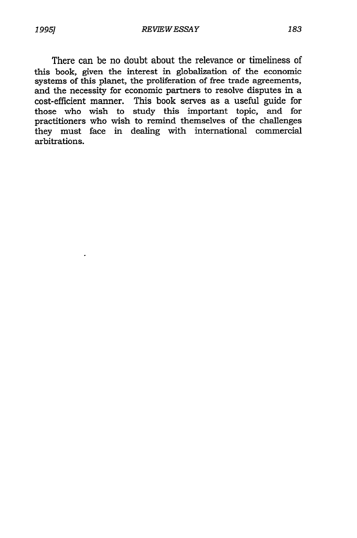There can be no doubt about the relevance or timeliness of this book, given the interest in globalization of the economic systems of this planet, the proliferation of free trade agreements, and the necessity for economic partners to resolve disputes in a cost-efficient manner. This book serves as a useful guide for those who wish to study this important topic, and for practitioners who wish to remind themselves of the challenges they must face in dealing with international commercial arbitrations.